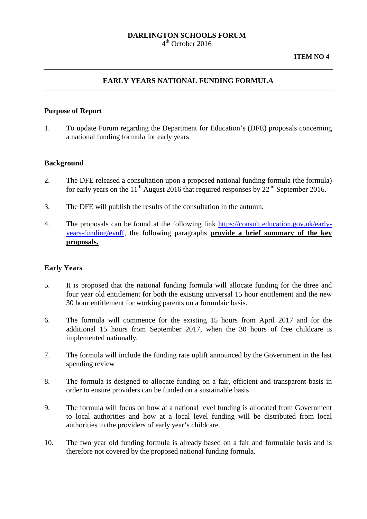#### **DARLINGTON SCHOOLS FORUM**  $4<sup>th</sup>$  October 2016

#### **EARLY YEARS NATIONAL FUNDING FORMULA**

#### **Purpose of Report**

1. To update Forum regarding the Department for Education's (DFE) proposals concerning a national funding formula for early years

#### **Background**

- 2. The DFE released a consultation upon a proposed national funding formula (the formula) for early years on the 11<sup>th</sup> August 2016 that required responses by  $22<sup>nd</sup>$  September 2016.
- 3. The DFE will publish the results of the consultation in the autumn.
- 4. The proposals can be found at the following link [https://consult.education.gov.uk/early](https://consult.education.gov.uk/early-years-funding/eynff)[years-funding/eynff,](https://consult.education.gov.uk/early-years-funding/eynff) the following paragraphs **provide a brief summary of the key proposals.**

#### **Early Years**

- 5. It is proposed that the national funding formula will allocate funding for the three and four year old entitlement for both the existing universal 15 hour entitlement and the new 30 hour entitlement for working parents on a formulaic basis.
- 6. The formula will commence for the existing 15 hours from April 2017 and for the additional 15 hours from September 2017, when the 30 hours of free childcare is implemented nationally.
- 7. The formula will include the funding rate uplift announced by the Government in the last spending review
- 8. The formula is designed to allocate funding on a fair, efficient and transparent basis in order to ensure providers can be funded on a sustainable basis.
- 9. The formula will focus on how at a national level funding is allocated from Government to local authorities and how at a local level funding will be distributed from local authorities to the providers of early year's childcare.
- 10. The two year old funding formula is already based on a fair and formulaic basis and is therefore not covered by the proposed national funding formula.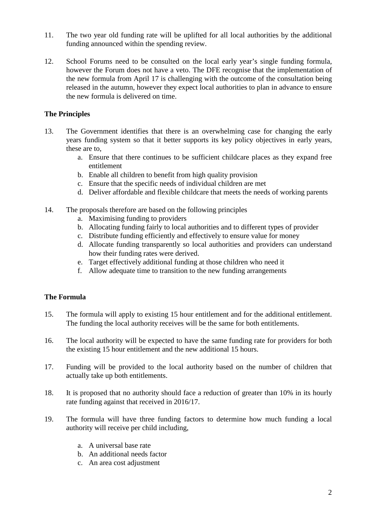- 11. The two year old funding rate will be uplifted for all local authorities by the additional funding announced within the spending review.
- 12. School Forums need to be consulted on the local early year's single funding formula, however the Forum does not have a veto. The DFE recognise that the implementation of the new formula from April 17 is challenging with the outcome of the consultation being released in the autumn, however they expect local authorities to plan in advance to ensure the new formula is delivered on time.

# **The Principles**

- 13. The Government identifies that there is an overwhelming case for changing the early years funding system so that it better supports its key policy objectives in early years, these are to,
	- a. Ensure that there continues to be sufficient childcare places as they expand free entitlement
	- b. Enable all children to benefit from high quality provision
	- c. Ensure that the specific needs of individual children are met
	- d. Deliver affordable and flexible childcare that meets the needs of working parents
- 14. The proposals therefore are based on the following principles
	- a. Maximising funding to providers
	- b. Allocating funding fairly to local authorities and to different types of provider
	- c. Distribute funding efficiently and effectively to ensure value for money
	- d. Allocate funding transparently so local authorities and providers can understand how their funding rates were derived.
	- e. Target effectively additional funding at those children who need it
	- f. Allow adequate time to transition to the new funding arrangements

## **The Formula**

- 15. The formula will apply to existing 15 hour entitlement and for the additional entitlement. The funding the local authority receives will be the same for both entitlements.
- 16. The local authority will be expected to have the same funding rate for providers for both the existing 15 hour entitlement and the new additional 15 hours.
- 17. Funding will be provided to the local authority based on the number of children that actually take up both entitlements.
- 18. It is proposed that no authority should face a reduction of greater than 10% in its hourly rate funding against that received in 2016/17.
- 19. The formula will have three funding factors to determine how much funding a local authority will receive per child including,
	- a. A universal base rate
	- b. An additional needs factor
	- c. An area cost adjustment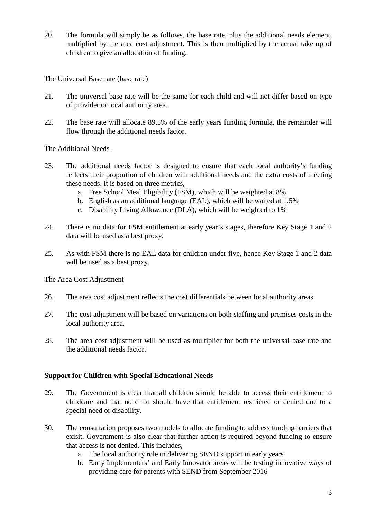20. The formula will simply be as follows, the base rate, plus the additional needs element, multiplied by the area cost adjustment. This is then multiplied by the actual take up of children to give an allocation of funding.

## The Universal Base rate (base rate)

- 21. The universal base rate will be the same for each child and will not differ based on type of provider or local authority area.
- 22. The base rate will allocate 89.5% of the early years funding formula, the remainder will flow through the additional needs factor.

## The Additional Needs

- 23. The additional needs factor is designed to ensure that each local authority's funding reflects their proportion of children with additional needs and the extra costs of meeting these needs. It is based on three metrics,
	- a. Free School Meal Eligibility (FSM), which will be weighted at 8%
	- b. English as an additional language (EAL), which will be waited at 1.5%
	- c. Disability Living Allowance (DLA), which will be weighted to 1%
- 24. There is no data for FSM entitlement at early year's stages, therefore Key Stage 1 and 2 data will be used as a best proxy.
- 25. As with FSM there is no EAL data for children under five, hence Key Stage 1 and 2 data will be used as a best proxy.

## The Area Cost Adjustment

- 26. The area cost adjustment reflects the cost differentials between local authority areas.
- 27. The cost adjustment will be based on variations on both staffing and premises costs in the local authority area.
- 28. The area cost adjustment will be used as multiplier for both the universal base rate and the additional needs factor.

## **Support for Children with Special Educational Needs**

- 29. The Government is clear that all children should be able to access their entitlement to childcare and that no child should have that entitlement restricted or denied due to a special need or disability.
- 30. The consultation proposes two models to allocate funding to address funding barriers that exisit. Government is also clear that further action is required beyond funding to ensure that access is not denied. This includes,
	- a. The local authority role in delivering SEND support in early years
	- b. Early Implementers' and Early Innovator areas will be testing innovative ways of providing care for parents with SEND from September 2016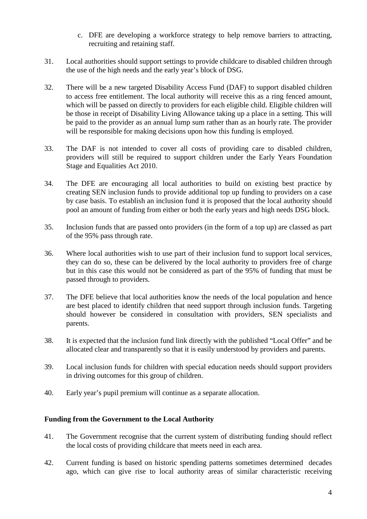- c. DFE are developing a workforce strategy to help remove barriers to attracting, recruiting and retaining staff.
- 31. Local authorities should support settings to provide childcare to disabled children through the use of the high needs and the early year's block of DSG.
- 32. There will be a new targeted Disability Access Fund (DAF) to support disabled children to access free entitlement. The local authority will receive this as a ring fenced amount, which will be passed on directly to providers for each eligible child. Eligible children will be those in receipt of Disability Living Allowance taking up a place in a setting. This will be paid to the provider as an annual lump sum rather than as an hourly rate. The provider will be responsible for making decisions upon how this funding is employed.
- 33. The DAF is not intended to cover all costs of providing care to disabled children, providers will still be required to support children under the Early Years Foundation Stage and Equalities Act 2010.
- 34. The DFE are encouraging all local authorities to build on existing best practice by creating SEN inclusion funds to provide additional top up funding to providers on a case by case basis. To establish an inclusion fund it is proposed that the local authority should pool an amount of funding from either or both the early years and high needs DSG block.
- 35. Inclusion funds that are passed onto providers (in the form of a top up) are classed as part of the 95% pass through rate.
- 36. Where local authorities wish to use part of their inclusion fund to support local services, they can do so, these can be delivered by the local authority to providers free of charge but in this case this would not be considered as part of the 95% of funding that must be passed through to providers.
- 37. The DFE believe that local authorities know the needs of the local population and hence are best placed to identify children that need support through inclusion funds. Targeting should however be considered in consultation with providers, SEN specialists and parents.
- 38. It is expected that the inclusion fund link directly with the published "Local Offer" and be allocated clear and transparently so that it is easily understood by providers and parents.
- 39. Local inclusion funds for children with special education needs should support providers in driving outcomes for this group of children.
- 40. Early year's pupil premium will continue as a separate allocation.

## **Funding from the Government to the Local Authority**

- 41. The Government recognise that the current system of distributing funding should reflect the local costs of providing childcare that meets need in each area.
- 42. Current funding is based on historic spending patterns sometimes determined decades ago, which can give rise to local authority areas of similar characteristic receiving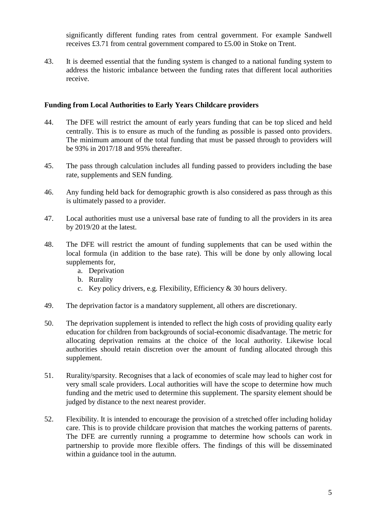significantly different funding rates from central government. For example Sandwell receives £3.71 from central government compared to £5.00 in Stoke on Trent.

43. It is deemed essential that the funding system is changed to a national funding system to address the historic imbalance between the funding rates that different local authorities receive.

#### **Funding from Local Authorities to Early Years Childcare providers**

- 44. The DFE will restrict the amount of early years funding that can be top sliced and held centrally. This is to ensure as much of the funding as possible is passed onto providers. The minimum amount of the total funding that must be passed through to providers will be 93% in 2017/18 and 95% thereafter.
- 45. The pass through calculation includes all funding passed to providers including the base rate, supplements and SEN funding.
- 46. Any funding held back for demographic growth is also considered as pass through as this is ultimately passed to a provider.
- 47. Local authorities must use a universal base rate of funding to all the providers in its area by 2019/20 at the latest.
- 48. The DFE will restrict the amount of funding supplements that can be used within the local formula (in addition to the base rate). This will be done by only allowing local supplements for,
	- a. Deprivation
	- b. Rurality
	- c. Key policy drivers, e.g. Flexibility, Efficiency & 30 hours delivery.
- 49. The deprivation factor is a mandatory supplement, all others are discretionary.
- 50. The deprivation supplement is intended to reflect the high costs of providing quality early education for children from backgrounds of social-economic disadvantage. The metric for allocating deprivation remains at the choice of the local authority. Likewise local authorities should retain discretion over the amount of funding allocated through this supplement.
- 51. Rurality/sparsity. Recognises that a lack of economies of scale may lead to higher cost for very small scale providers. Local authorities will have the scope to determine how much funding and the metric used to determine this supplement. The sparsity element should be judged by distance to the next nearest provider.
- 52. Flexibility. It is intended to encourage the provision of a stretched offer including holiday care. This is to provide childcare provision that matches the working patterns of parents. The DFE are currently running a programme to determine how schools can work in partnership to provide more flexible offers. The findings of this will be disseminated within a guidance tool in the autumn.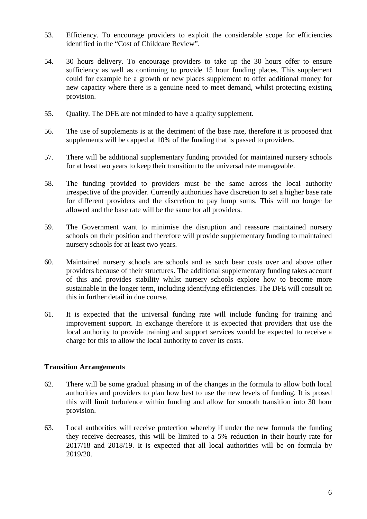- 53. Efficiency. To encourage providers to exploit the considerable scope for efficiencies identified in the "Cost of Childcare Review".
- 54. 30 hours delivery. To encourage providers to take up the 30 hours offer to ensure sufficiency as well as continuing to provide 15 hour funding places. This supplement could for example be a growth or new places supplement to offer additional money for new capacity where there is a genuine need to meet demand, whilst protecting existing provision.
- 55. Quality. The DFE are not minded to have a quality supplement.
- 56. The use of supplements is at the detriment of the base rate, therefore it is proposed that supplements will be capped at 10% of the funding that is passed to providers.
- 57. There will be additional supplementary funding provided for maintained nursery schools for at least two years to keep their transition to the universal rate manageable.
- 58. The funding provided to providers must be the same across the local authority irrespective of the provider. Currently authorities have discretion to set a higher base rate for different providers and the discretion to pay lump sums. This will no longer be allowed and the base rate will be the same for all providers.
- 59. The Government want to minimise the disruption and reassure maintained nursery schools on their position and therefore will provide supplementary funding to maintained nursery schools for at least two years.
- 60. Maintained nursery schools are schools and as such bear costs over and above other providers because of their structures. The additional supplementary funding takes account of this and provides stability whilst nursery schools explore how to become more sustainable in the longer term, including identifying efficiencies. The DFE will consult on this in further detail in due course.
- 61. It is expected that the universal funding rate will include funding for training and improvement support. In exchange therefore it is expected that providers that use the local authority to provide training and support services would be expected to receive a charge for this to allow the local authority to cover its costs.

## **Transition Arrangements**

- 62. There will be some gradual phasing in of the changes in the formula to allow both local authorities and providers to plan how best to use the new levels of funding. It is prosed this will limit turbulence within funding and allow for smooth transition into 30 hour provision.
- 63. Local authorities will receive protection whereby if under the new formula the funding they receive decreases, this will be limited to a 5% reduction in their hourly rate for 2017/18 and 2018/19. It is expected that all local authorities will be on formula by 2019/20.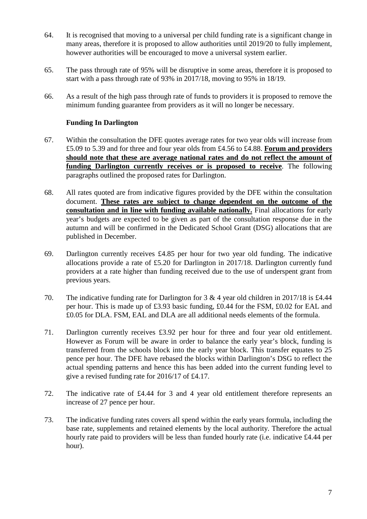- 64. It is recognised that moving to a universal per child funding rate is a significant change in many areas, therefore it is proposed to allow authorities until 2019/20 to fully implement, however authorities will be encouraged to move a universal system earlier.
- 65. The pass through rate of 95% will be disruptive in some areas, therefore it is proposed to start with a pass through rate of 93% in 2017/18, moving to 95% in 18/19.
- 66. As a result of the high pass through rate of funds to providers it is proposed to remove the minimum funding guarantee from providers as it will no longer be necessary.

# **Funding In Darlington**

- 67. Within the consultation the DFE quotes average rates for two year olds will increase from £5.09 to 5.39 and for three and four year olds from £4.56 to £4.88. **Forum and providers should note that these are average national rates and do not reflect the amount of funding Darlington currently receives or is proposed to receive**. The following paragraphs outlined the proposed rates for Darlington.
- 68. All rates quoted are from indicative figures provided by the DFE within the consultation document. **These rates are subject to change dependent on the outcome of the consultation and in line with funding available nationally.** Final allocations for early year's budgets are expected to be given as part of the consultation response due in the autumn and will be confirmed in the Dedicated School Grant (DSG) allocations that are published in December.
- 69. Darlington currently receives £4.85 per hour for two year old funding. The indicative allocations provide a rate of £5.20 for Darlington in 2017/18. Darlington currently fund providers at a rate higher than funding received due to the use of underspent grant from previous years.
- 70. The indicative funding rate for Darlington for 3 & 4 year old children in 2017/18 is £4.44 per hour. This is made up of £3.93 basic funding, £0.44 for the FSM, £0.02 for EAL and £0.05 for DLA. FSM, EAL and DLA are all additional needs elements of the formula.
- 71. Darlington currently receives £3.92 per hour for three and four year old entitlement. However as Forum will be aware in order to balance the early year's block, funding is transferred from the schools block into the early year block. This transfer equates to 25 pence per hour. The DFE have rebased the blocks within Darlington's DSG to reflect the actual spending patterns and hence this has been added into the current funding level to give a revised funding rate for 2016/17 of £4.17.
- 72. The indicative rate of £4.44 for 3 and 4 year old entitlement therefore represents an increase of 27 pence per hour.
- 73. The indicative funding rates covers all spend within the early years formula, including the base rate, supplements and retained elements by the local authority. Therefore the actual hourly rate paid to providers will be less than funded hourly rate (i.e. indicative £4.44 per hour).